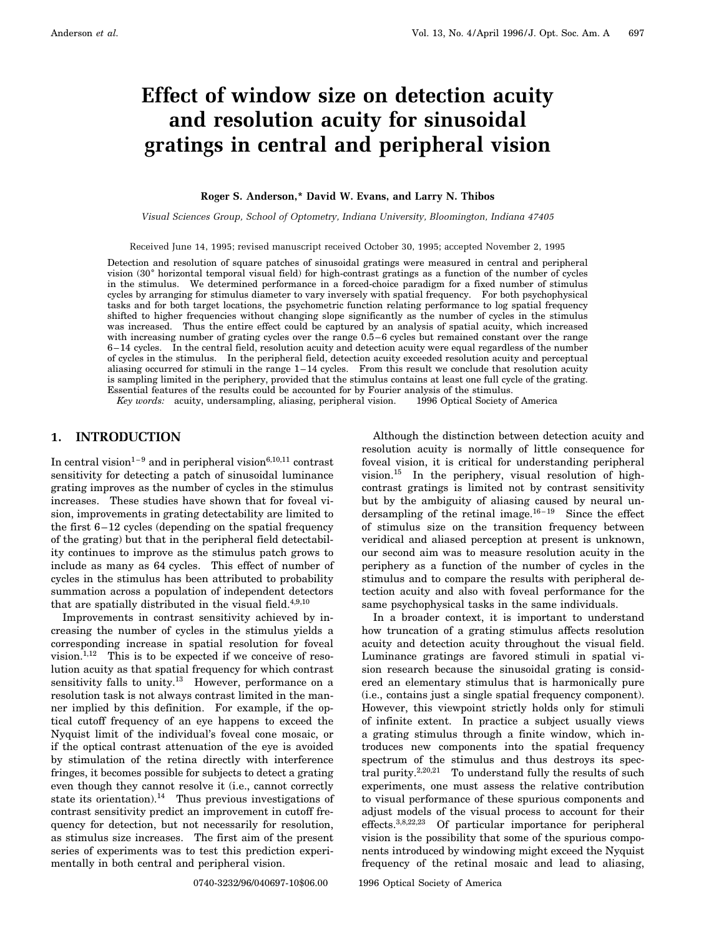# **Effect of window size on detection acuity and resolution acuity for sinusoidal gratings in central and peripheral vision**

### **Roger S. Anderson,\* David W. Evans, and Larry N. Thibos**

*Visual Sciences Group, School of Optometry, Indiana University, Bloomington, Indiana 47405*

Received June 14, 1995; revised manuscript received October 30, 1995; accepted November 2, 1995

Detection and resolution of square patches of sinusoidal gratings were measured in central and peripheral vision (30° horizontal temporal visual field) for high-contrast gratings as a function of the number of cycles in the stimulus. We determined performance in a forced-choice paradigm for a fixed number of stimulus cycles by arranging for stimulus diameter to vary inversely with spatial frequency. For both psychophysical tasks and for both target locations, the psychometric function relating performance to log spatial frequency shifted to higher frequencies without changing slope significantly as the number of cycles in the stimulus was increased. Thus the entire effect could be captured by an analysis of spatial acuity, which increased with increasing number of grating cycles over the range  $0.5-6$  cycles but remained constant over the range 6–14 cycles. In the central field, resolution acuity and detection acuity were equal regardless of the number of cycles in the stimulus. In the peripheral field, detection acuity exceeded resolution acuity and perceptual aliasing occurred for stimuli in the range 1–14 cycles. From this result we conclude that resolution acuity is sampling limited in the periphery, provided that the stimulus contains at least one full cycle of the grating. Essential features of the results could be accounted for by Fourier analysis of the stimulus.

*Key words:* acuity, undersampling, aliasing, peripheral vision. © 1996 Optical Society of America

# **1. INTRODUCTION**

In central vision<sup>1–9</sup> and in peripheral vision<sup>6,10,11</sup> contrast sensitivity for detecting a patch of sinusoidal luminance grating improves as the number of cycles in the stimulus increases. These studies have shown that for foveal vision, improvements in grating detectability are limited to the first 6–12 cycles (depending on the spatial frequency of the grating) but that in the peripheral field detectability continues to improve as the stimulus patch grows to include as many as 64 cycles. This effect of number of cycles in the stimulus has been attributed to probability summation across a population of independent detectors that are spatially distributed in the visual field.<sup>4,9,10</sup>

Improvements in contrast sensitivity achieved by increasing the number of cycles in the stimulus yields a corresponding increase in spatial resolution for foveal vision. $1,12$  This is to be expected if we conceive of resolution acuity as that spatial frequency for which contrast sensitivity falls to unity.<sup>13</sup> However, performance on a resolution task is not always contrast limited in the manner implied by this definition. For example, if the optical cutoff frequency of an eye happens to exceed the Nyquist limit of the individual's foveal cone mosaic, or if the optical contrast attenuation of the eye is avoided by stimulation of the retina directly with interference fringes, it becomes possible for subjects to detect a grating even though they cannot resolve it (i.e., cannot correctly state its orientation).<sup>14</sup> Thus previous investigations of contrast sensitivity predict an improvement in cutoff frequency for detection, but not necessarily for resolution, as stimulus size increases. The first aim of the present series of experiments was to test this prediction experimentally in both central and peripheral vision.

Although the distinction between detection acuity and resolution acuity is normally of little consequence for foveal vision, it is critical for understanding peripheral vision.<sup>15</sup> In the periphery, visual resolution of highcontrast gratings is limited not by contrast sensitivity but by the ambiguity of aliasing caused by neural undersampling of the retinal image. $16-19$  Since the effect of stimulus size on the transition frequency between veridical and aliased perception at present is unknown, our second aim was to measure resolution acuity in the periphery as a function of the number of cycles in the stimulus and to compare the results with peripheral detection acuity and also with foveal performance for the same psychophysical tasks in the same individuals.

In a broader context, it is important to understand how truncation of a grating stimulus affects resolution acuity and detection acuity throughout the visual field. Luminance gratings are favored stimuli in spatial vision research because the sinusoidal grating is considered an elementary stimulus that is harmonically pure (i.e., contains just a single spatial frequency component). However, this viewpoint strictly holds only for stimuli of infinite extent. In practice a subject usually views a grating stimulus through a finite window, which introduces new components into the spatial frequency spectrum of the stimulus and thus destroys its spectral purity.2,20,21 To understand fully the results of such experiments, one must assess the relative contribution to visual performance of these spurious components and adjust models of the visual process to account for their effects.3,8,22,23 Of particular importance for peripheral vision is the possibility that some of the spurious components introduced by windowing might exceed the Nyquist frequency of the retinal mosaic and lead to aliasing,

0740-3232/96/040697-10\$06.00 © 1996 Optical Society of America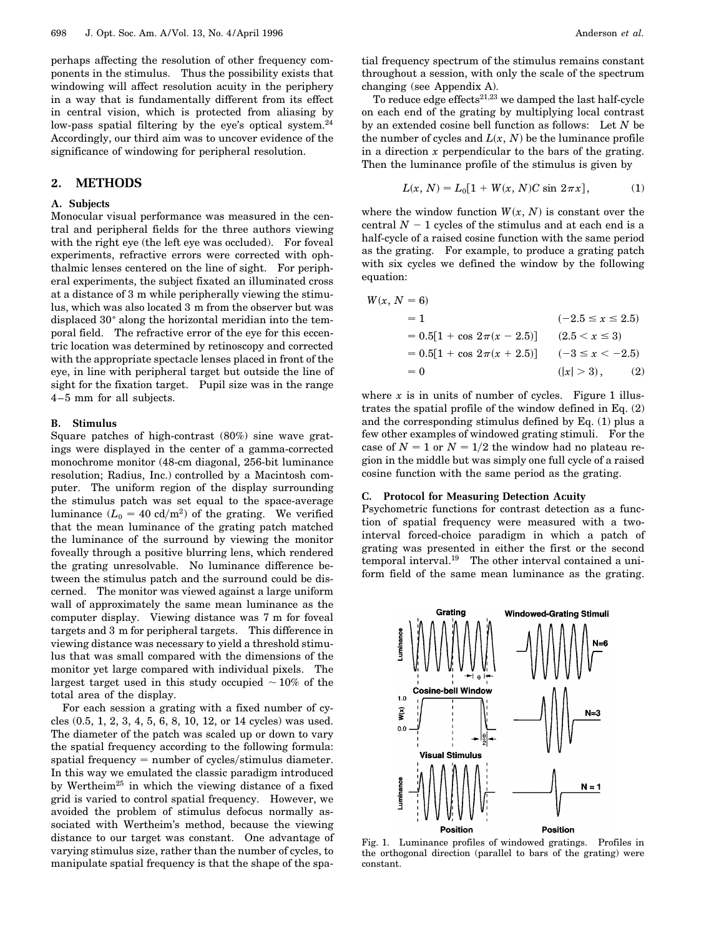perhaps affecting the resolution of other frequency components in the stimulus. Thus the possibility exists that windowing will affect resolution acuity in the periphery in a way that is fundamentally different from its effect in central vision, which is protected from aliasing by low-pass spatial filtering by the eye's optical system.<sup>24</sup> Accordingly, our third aim was to uncover evidence of the significance of windowing for peripheral resolution.

# **2. METHODS**

### **A. Subjects**

Monocular visual performance was measured in the central and peripheral fields for the three authors viewing with the right eye (the left eye was occluded). For foveal experiments, refractive errors were corrected with ophthalmic lenses centered on the line of sight. For peripheral experiments, the subject fixated an illuminated cross at a distance of 3 m while peripherally viewing the stimulus, which was also located 3 m from the observer but was displaced 30 $^{\circ}$  along the horizontal meridian into the temporal field. The refractive error of the eye for this eccentric location was determined by retinoscopy and corrected with the appropriate spectacle lenses placed in front of the eye, in line with peripheral target but outside the line of sight for the fixation target. Pupil size was in the range 4–5 mm for all subjects.

### **B. Stimulus**

Square patches of high-contrast (80%) sine wave gratings were displayed in the center of a gamma-corrected monochrome monitor (48-cm diagonal, 256-bit luminance resolution; Radius, Inc.) controlled by a Macintosh computer. The uniform region of the display surrounding the stimulus patch was set equal to the space-average luminance  $(L_0 = 40 \text{ cd/m}^2)$  of the grating. We verified that the mean luminance of the grating patch matched the luminance of the surround by viewing the monitor foveally through a positive blurring lens, which rendered the grating unresolvable. No luminance difference between the stimulus patch and the surround could be discerned. The monitor was viewed against a large uniform wall of approximately the same mean luminance as the computer display. Viewing distance was 7 m for foveal targets and 3 m for peripheral targets. This difference in viewing distance was necessary to yield a threshold stimulus that was small compared with the dimensions of the monitor yet large compared with individual pixels. The largest target used in this study occupied  $\sim$  10% of the total area of the display.

For each session a grating with a fixed number of cycles (0.5, 1, 2, 3, 4, 5, 6, 8, 10, 12, or 14 cycles) was used. The diameter of the patch was scaled up or down to vary the spatial frequency according to the following formula: spatial frequency  $=$  number of cycles/stimulus diameter. In this way we emulated the classic paradigm introduced by Wertheim<sup>25</sup> in which the viewing distance of a fixed grid is varied to control spatial frequency. However, we avoided the problem of stimulus defocus normally associated with Wertheim's method, because the viewing distance to our target was constant. One advantage of varying stimulus size, rather than the number of cycles, to manipulate spatial frequency is that the shape of the spatial frequency spectrum of the stimulus remains constant throughout a session, with only the scale of the spectrum changing (see Appendix A).

To reduce edge effects $21,23$  we damped the last half-cycle on each end of the grating by multiplying local contrast by an extended cosine bell function as follows: Let *N* be the number of cycles and  $L(x, N)$  be the luminance profile in a direction *x* perpendicular to the bars of the grating. Then the luminance profile of the stimulus is given by

$$
L(x, N) = L_0[1 + W(x, N)C \sin 2\pi x], \tag{1}
$$

where the window function  $W(x, N)$  is constant over the central  $N-1$  cycles of the stimulus and at each end is a half-cycle of a raised cosine function with the same period as the grating. For example, to produce a grating patch with six cycles we defined the window by the following equation:

$$
W(x, N = 6)
$$
  
= 1 \t(-2.5 \le x \le 2.5)  
= 0.5[1 + cos 2\pi(x - 2.5)] \t(2.5 < x \le 3)  
= 0.5[1 + cos 2\pi(x + 2.5)] \t(-3 \le x < -2.5)  
= 0 \t(|x| > 3), \t(2)

where  $x$  is in units of number of cycles. Figure 1 illustrates the spatial profile of the window defined in Eq. (2) and the corresponding stimulus defined by Eq. (1) plus a few other examples of windowed grating stimuli. For the case of  $N = 1$  or  $N = 1/2$  the window had no plateau region in the middle but was simply one full cycle of a raised cosine function with the same period as the grating.

### **C. Protocol for Measuring Detection Acuity**

Psychometric functions for contrast detection as a function of spatial frequency were measured with a twointerval forced-choice paradigm in which a patch of grating was presented in either the first or the second temporal interval.<sup>19</sup> The other interval contained a uniform field of the same mean luminance as the grating.



Fig. 1. Luminance profiles of windowed gratings. Profiles in the orthogonal direction (parallel to bars of the grating) were constant.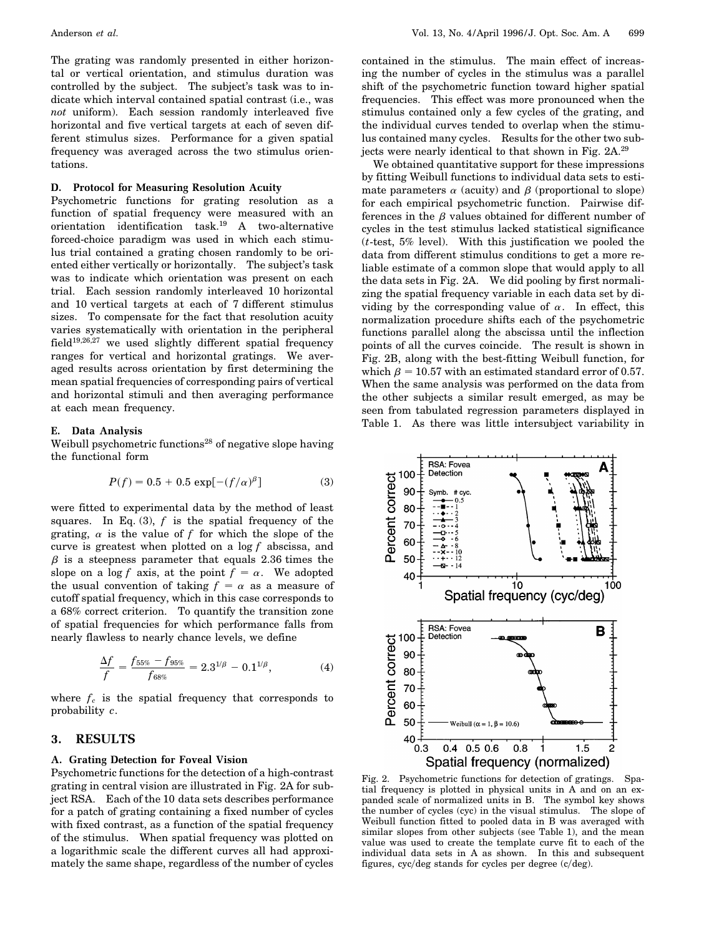The grating was randomly presented in either horizontal or vertical orientation, and stimulus duration was controlled by the subject. The subject's task was to indicate which interval contained spatial contrast (i.e., was *not* uniform). Each session randomly interleaved five horizontal and five vertical targets at each of seven different stimulus sizes. Performance for a given spatial frequency was averaged across the two stimulus orientations.

### **D. Protocol for Measuring Resolution Acuity**

Psychometric functions for grating resolution as a function of spatial frequency were measured with an orientation identification task.19 A two-alternative forced-choice paradigm was used in which each stimulus trial contained a grating chosen randomly to be oriented either vertically or horizontally. The subject's task was to indicate which orientation was present on each trial. Each session randomly interleaved 10 horizontal and 10 vertical targets at each of 7 different stimulus sizes. To compensate for the fact that resolution acuity varies systematically with orientation in the peripheral field<sup>19,26,27</sup> we used slightly different spatial frequency ranges for vertical and horizontal gratings. We averaged results across orientation by first determining the mean spatial frequencies of corresponding pairs of vertical and horizontal stimuli and then averaging performance at each mean frequency.

### **E. Data Analysis**

Weibull psychometric functions<sup>28</sup> of negative slope having the functional form

$$
P(f) = 0.5 + 0.5 \exp[-(f/\alpha)^{\beta}] \tag{3}
$$

were fitted to experimental data by the method of least squares. In Eq.  $(3)$ ,  $f$  is the spatial frequency of the grating,  $\alpha$  is the value of f for which the slope of the curve is greatest when plotted on a log *f* abscissa, and  $\beta$  is a steepness parameter that equals 2.36 times the slope on a log *f* axis, at the point  $f = \alpha$ . We adopted the usual convention of taking  $f = \alpha$  as a measure of cutoff spatial frequency, which in this case corresponds to a 68% correct criterion. To quantify the transition zone of spatial frequencies for which performance falls from nearly flawless to nearly chance levels, we define

$$
\frac{\Delta f}{f} = \frac{f_{55\%} - f_{95\%}}{f_{68\%}} = 2.3^{1/\beta} - 0.1^{1/\beta},\tag{4}
$$

where  $f_c$  is the spatial frequency that corresponds to probability *c*.

# **3. RESULTS**

### **A. Grating Detection for Foveal Vision**

Psychometric functions for the detection of a high-contrast grating in central vision are illustrated in Fig. 2A for subject RSA. Each of the 10 data sets describes performance for a patch of grating containing a fixed number of cycles with fixed contrast, as a function of the spatial frequency of the stimulus. When spatial frequency was plotted on a logarithmic scale the different curves all had approximately the same shape, regardless of the number of cycles

contained in the stimulus. The main effect of increasing the number of cycles in the stimulus was a parallel shift of the psychometric function toward higher spatial frequencies. This effect was more pronounced when the stimulus contained only a few cycles of the grating, and the individual curves tended to overlap when the stimulus contained many cycles. Results for the other two subjects were nearly identical to that shown in Fig. 2A.<sup>29</sup>

We obtained quantitative support for these impressions by fitting Weibull functions to individual data sets to estimate parameters  $\alpha$  (acuity) and  $\beta$  (proportional to slope) for each empirical psychometric function. Pairwise differences in the  $\beta$  values obtained for different number of cycles in the test stimulus lacked statistical significance (*t*-test, 5% level). With this justification we pooled the data from different stimulus conditions to get a more reliable estimate of a common slope that would apply to all the data sets in Fig. 2A. We did pooling by first normalizing the spatial frequency variable in each data set by dividing by the corresponding value of  $\alpha$ . In effect, this normalization procedure shifts each of the psychometric functions parallel along the abscissa until the inflection points of all the curves coincide. The result is shown in Fig. 2B, along with the best-fitting Weibull function, for which  $\beta = 10.57$  with an estimated standard error of 0.57. When the same analysis was performed on the data from the other subjects a similar result emerged, as may be seen from tabulated regression parameters displayed in Table 1. As there was little intersubject variability in



Fig. 2. Psychometric functions for detection of gratings. Spatial frequency is plotted in physical units in A and on an expanded scale of normalized units in B. The symbol key shows the number of cycles (cyc) in the visual stimulus. The slope of Weibull function fitted to pooled data in B was averaged with similar slopes from other subjects (see Table 1), and the mean value was used to create the template curve fit to each of the individual data sets in A as shown. In this and subsequent figures,  $\frac{cyc}{deg}$  stands for cycles per degree  $\frac{c}{deg}$ ).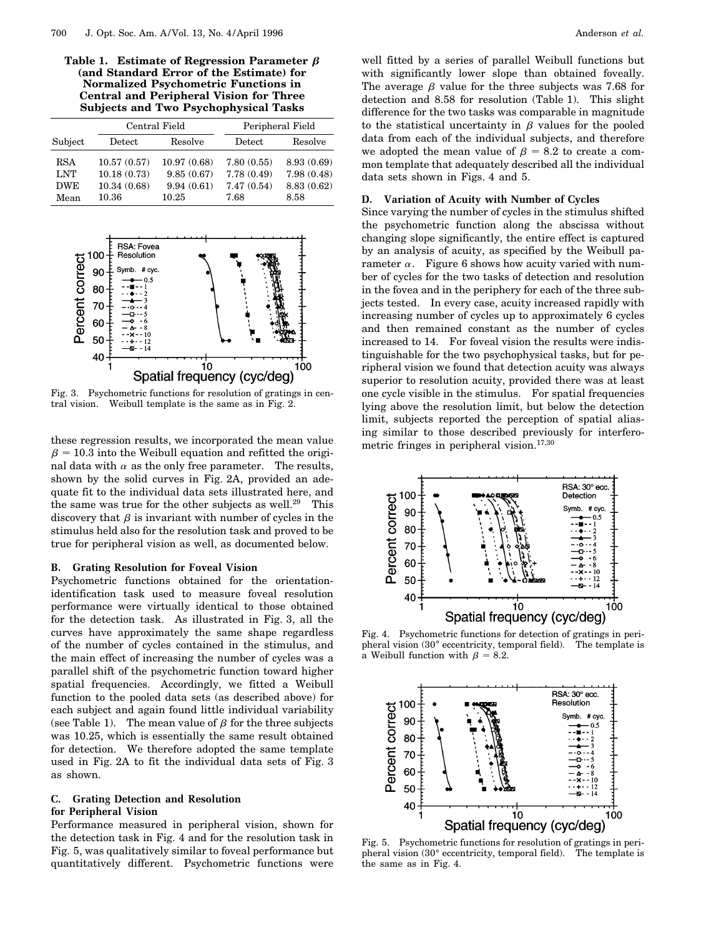Table 1. Estimate of Regression Parameter  $\beta$ **(and Standard Error of the Estimate) for Normalized Psychometric Functions in Central and Peripheral Vision for Three Subjects and Two Psychophysical Tasks**

|            | Central Field    |             | Peripheral Field |            |
|------------|------------------|-------------|------------------|------------|
| Subject    | $_{\rm{Detect}}$ | Resolve     | Detect           | Resolve    |
| <b>RSA</b> | 10.57(0.57)      | 10.97(0.68) | 7.80(0.55)       | 8.93(0.69) |
| <b>LNT</b> | 10.18(0.73)      | 9.85(0.67)  | 7.78(0.49)       | 7.98(0.48) |
| <b>DWE</b> | 10.34(0.68)      | 9.94(0.61)  | 7.47(0.54)       | 8.83(0.62) |
| Mean       | 10.36            | 10.25       | 7.68             | 8.58       |



Fig. 3. Psychometric functions for resolution of gratings in central vision. Weibull template is the same as in Fig. 2.

these regression results, we incorporated the mean value  $\beta$  = 10.3 into the Weibull equation and refitted the original data with  $\alpha$  as the only free parameter. The results, shown by the solid curves in Fig. 2A, provided an adequate fit to the individual data sets illustrated here, and the same was true for the other subjects as well.<sup>29</sup> This discovery that  $\beta$  is invariant with number of cycles in the stimulus held also for the resolution task and proved to be true for peripheral vision as well, as documented below.

### **B. Grating Resolution for Foveal Vision**

Psychometric functions obtained for the orientationidentification task used to measure foveal resolution performance were virtually identical to those obtained for the detection task. As illustrated in Fig. 3, all the curves have approximately the same shape regardless of the number of cycles contained in the stimulus, and the main effect of increasing the number of cycles was a parallel shift of the psychometric function toward higher spatial frequencies. Accordingly, we fitted a Weibull function to the pooled data sets (as described above) for each subject and again found little individual variability (see Table 1). The mean value of  $\beta$  for the three subjects was 10.25, which is essentially the same result obtained for detection. We therefore adopted the same template used in Fig. 2A to fit the individual data sets of Fig. 3 as shown.

# **C. Grating Detection and Resolution**

# **for Peripheral Vision**

Performance measured in peripheral vision, shown for the detection task in Fig. 4 and for the resolution task in Fig. 5, was qualitatively similar to foveal performance but quantitatively different. Psychometric functions were well fitted by a series of parallel Weibull functions but with significantly lower slope than obtained foveally. The average  $\beta$  value for the three subjects was 7.68 for detection and 8.58 for resolution (Table 1). This slight difference for the two tasks was comparable in magnitude to the statistical uncertainty in  $\beta$  values for the pooled data from each of the individual subjects, and therefore we adopted the mean value of  $\beta = 8.2$  to create a common template that adequately described all the individual data sets shown in Figs. 4 and 5.

### **D. Variation of Acuity with Number of Cycles**

Since varying the number of cycles in the stimulus shifted the psychometric function along the abscissa without changing slope significantly, the entire effect is captured by an analysis of acuity, as specified by the Weibull parameter  $\alpha$ . Figure 6 shows how acuity varied with number of cycles for the two tasks of detection and resolution in the fovea and in the periphery for each of the three subjects tested. In every case, acuity increased rapidly with increasing number of cycles up to approximately 6 cycles and then remained constant as the number of cycles increased to 14. For foveal vision the results were indistinguishable for the two psychophysical tasks, but for peripheral vision we found that detection acuity was always superior to resolution acuity, provided there was at least one cycle visible in the stimulus. For spatial frequencies lying above the resolution limit, but below the detection limit, subjects reported the perception of spatial aliasing similar to those described previously for interferometric fringes in peripheral vision.<sup>17,30</sup>



Fig. 4. Psychometric functions for detection of gratings in peripheral vision  $(30°$  eccentricity, temporal field). The template is a Weibull function with  $\beta = 8.2$ .



Fig. 5. Psychometric functions for resolution of gratings in peri-<br>pheral vision (30° eccentricity, temporal field). The template is the same as in Fig. 4.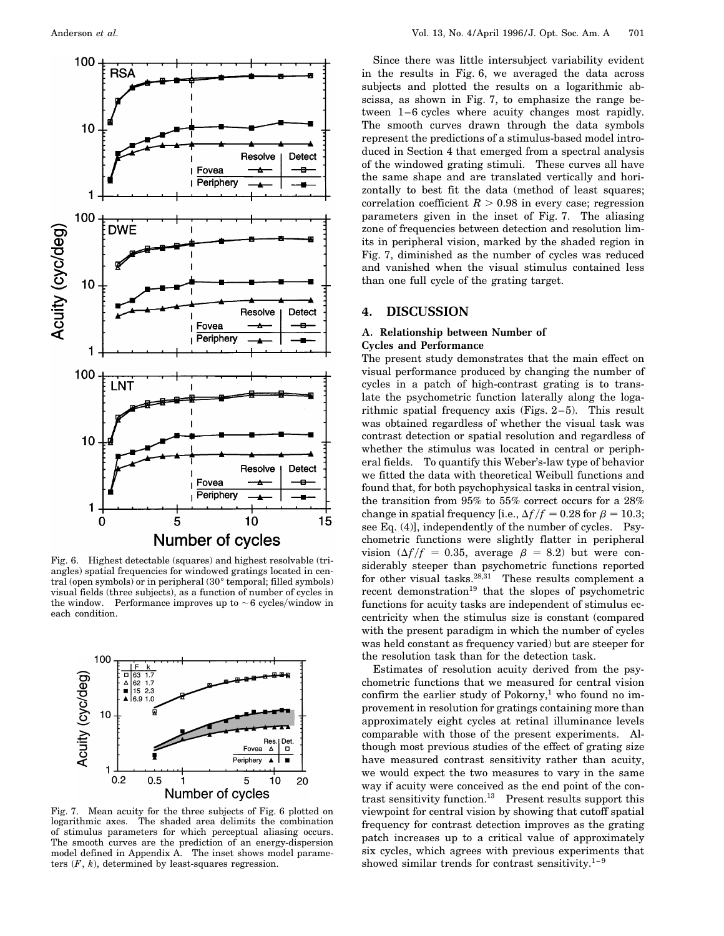

Fig. 6. Highest detectable (squares) and highest resolvable (triangles) spatial frequencies for windowed gratings located in central (open symbols) or in peripheral  $(30°)$  temporal; filled symbols) visual fields (three subjects), as a function of number of cycles in the window. Performance improves up to  $\sim$  6 cycles/window in each condition.



Fig. 7. Mean acuity for the three subjects of Fig. 6 plotted on logarithmic axes. The shaded area delimits the combination of stimulus parameters for which perceptual aliasing occurs. The smooth curves are the prediction of an energy-dispersion model defined in Appendix A. The inset shows model parameters  $(F, k)$ , determined by least-squares regression.

Since there was little intersubject variability evident in the results in Fig. 6, we averaged the data across subjects and plotted the results on a logarithmic abscissa, as shown in Fig. 7, to emphasize the range between 1–6 cycles where acuity changes most rapidly. The smooth curves drawn through the data symbols represent the predictions of a stimulus-based model introduced in Section 4 that emerged from a spectral analysis of the windowed grating stimuli. These curves all have the same shape and are translated vertically and horizontally to best fit the data (method of least squares; correlation coefficient  $R > 0.98$  in every case; regression parameters given in the inset of Fig. 7. The aliasing zone of frequencies between detection and resolution limits in peripheral vision, marked by the shaded region in Fig. 7, diminished as the number of cycles was reduced and vanished when the visual stimulus contained less than one full cycle of the grating target.

## **4. DISCUSSION**

# **A. Relationship between Number of Cycles and Performance**

The present study demonstrates that the main effect on visual performance produced by changing the number of cycles in a patch of high-contrast grating is to translate the psychometric function laterally along the logarithmic spatial frequency axis (Figs. 2–5). This result was obtained regardless of whether the visual task was contrast detection or spatial resolution and regardless of whether the stimulus was located in central or peripheral fields. To quantify this Weber's-law type of behavior we fitted the data with theoretical Weibull functions and found that, for both psychophysical tasks in central vision, the transition from 95% to 55% correct occurs for a 28% change in spatial frequency [i.e.,  $\Delta f/f = 0.28$  for  $\beta = 10.3$ ; see Eq. (4)], independently of the number of cycles. Psychometric functions were slightly flatter in peripheral vision  $(\Delta f)/f = 0.35$ , average  $\beta = 8.2$ ) but were considerably steeper than psychometric functions reported for other visual tasks. $28,31$  These results complement a recent demonstration<sup>19</sup> that the slopes of psychometric functions for acuity tasks are independent of stimulus eccentricity when the stimulus size is constant (compared with the present paradigm in which the number of cycles was held constant as frequency varied) but are steeper for the resolution task than for the detection task.

Estimates of resolution acuity derived from the psychometric functions that we measured for central vision confirm the earlier study of  $Pokorny$ ,<sup>1</sup> who found no improvement in resolution for gratings containing more than approximately eight cycles at retinal illuminance levels comparable with those of the present experiments. Although most previous studies of the effect of grating size have measured contrast sensitivity rather than acuity, we would expect the two measures to vary in the same way if acuity were conceived as the end point of the contrast sensitivity function.13 Present results support this viewpoint for central vision by showing that cutoff spatial frequency for contrast detection improves as the grating patch increases up to a critical value of approximately six cycles, which agrees with previous experiments that showed similar trends for contrast sensitivity. $1-9$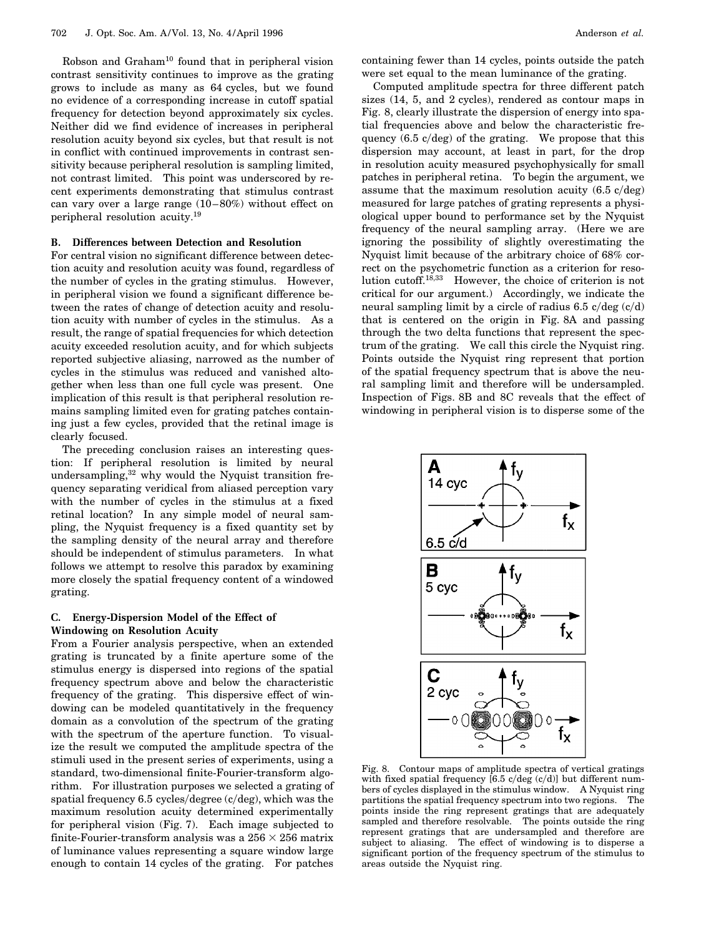Robson and Graham10 found that in peripheral vision contrast sensitivity continues to improve as the grating grows to include as many as 64 cycles, but we found no evidence of a corresponding increase in cutoff spatial frequency for detection beyond approximately six cycles. Neither did we find evidence of increases in peripheral resolution acuity beyond six cycles, but that result is not in conflict with continued improvements in contrast sensitivity because peripheral resolution is sampling limited, not contrast limited. This point was underscored by recent experiments demonstrating that stimulus contrast can vary over a large range (10–80%) without effect on peripheral resolution acuity.19

### **B. Differences between Detection and Resolution**

For central vision no significant difference between detection acuity and resolution acuity was found, regardless of the number of cycles in the grating stimulus. However, in peripheral vision we found a significant difference between the rates of change of detection acuity and resolution acuity with number of cycles in the stimulus. As a result, the range of spatial frequencies for which detection acuity exceeded resolution acuity, and for which subjects reported subjective aliasing, narrowed as the number of cycles in the stimulus was reduced and vanished altogether when less than one full cycle was present. One implication of this result is that peripheral resolution remains sampling limited even for grating patches containing just a few cycles, provided that the retinal image is clearly focused.

The preceding conclusion raises an interesting question: If peripheral resolution is limited by neural undersampling,<sup>32</sup> why would the Nyquist transition frequency separating veridical from aliased perception vary with the number of cycles in the stimulus at a fixed retinal location? In any simple model of neural sampling, the Nyquist frequency is a fixed quantity set by the sampling density of the neural array and therefore should be independent of stimulus parameters. In what follows we attempt to resolve this paradox by examining more closely the spatial frequency content of a windowed grating.

### **C. Energy-Dispersion Model of the Effect of Windowing on Resolution Acuity**

From a Fourier analysis perspective, when an extended grating is truncated by a finite aperture some of the stimulus energy is dispersed into regions of the spatial frequency spectrum above and below the characteristic frequency of the grating. This dispersive effect of windowing can be modeled quantitatively in the frequency domain as a convolution of the spectrum of the grating with the spectrum of the aperture function. To visualize the result we computed the amplitude spectra of the stimuli used in the present series of experiments, using a standard, two-dimensional finite-Fourier-transform algorithm. For illustration purposes we selected a grating of spatial frequency  $6.5$  cycles/degree (c/deg), which was the maximum resolution acuity determined experimentally for peripheral vision (Fig. 7). Each image subjected to finite-Fourier-transform analysis was a  $256 \times 256$  matrix of luminance values representing a square window large enough to contain 14 cycles of the grating. For patches

containing fewer than 14 cycles, points outside the patch were set equal to the mean luminance of the grating.

Computed amplitude spectra for three different patch sizes (14, 5, and 2 cycles), rendered as contour maps in Fig. 8, clearly illustrate the dispersion of energy into spatial frequencies above and below the characteristic frequency  $(6.5 \text{ c/deg})$  of the grating. We propose that this dispersion may account, at least in part, for the drop in resolution acuity measured psychophysically for small patches in peripheral retina. To begin the argument, we assume that the maximum resolution acuity  $(6.5 \text{ c/deg})$ measured for large patches of grating represents a physiological upper bound to performance set by the Nyquist frequency of the neural sampling array. (Here we are ignoring the possibility of slightly overestimating the Nyquist limit because of the arbitrary choice of 68% correct on the psychometric function as a criterion for resolution cutoff.18,33 However, the choice of criterion is not critical for our argument.) Accordingly, we indicate the neural sampling limit by a circle of radius  $6.5 \text{ c/deg}$  (c/d) that is centered on the origin in Fig. 8A and passing through the two delta functions that represent the spectrum of the grating. We call this circle the Nyquist ring. Points outside the Nyquist ring represent that portion of the spatial frequency spectrum that is above the neural sampling limit and therefore will be undersampled. Inspection of Figs. 8B and 8C reveals that the effect of windowing in peripheral vision is to disperse some of the



Fig. 8. Contour maps of amplitude spectra of vertical gratings with fixed spatial frequency  $[6.5 \text{ c/deg} (\text{c/d})]$  but different numbers of cycles displayed in the stimulus window. A Nyquist ring partitions the spatial frequency spectrum into two regions. The points inside the ring represent gratings that are adequately sampled and therefore resolvable. The points outside the ring represent gratings that are undersampled and therefore are subject to aliasing. The effect of windowing is to disperse a significant portion of the frequency spectrum of the stimulus to areas outside the Nyquist ring.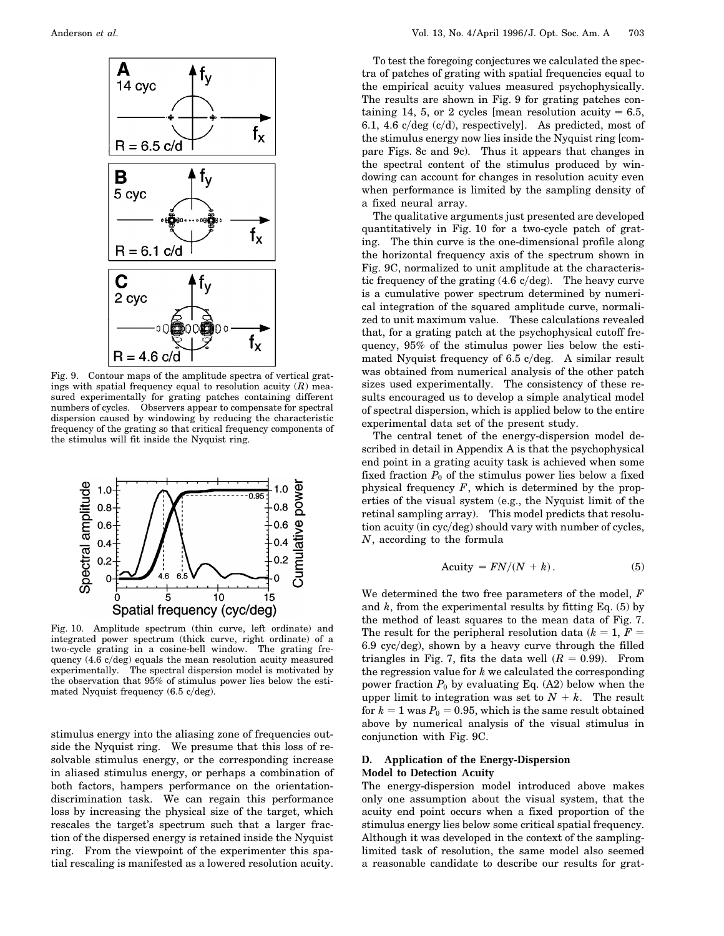

Fig. 9. Contour maps of the amplitude spectra of vertical gratings with spatial frequency equal to resolution acuity (*R*) measured experimentally for grating patches containing different numbers of cycles. Observers appear to compensate for spectral dispersion caused by windowing by reducing the characteristic frequency of the grating so that critical frequency components of the stimulus will fit inside the Nyquist ring.



Fig. 10. Amplitude spectrum (thin curve, left ordinate) and integrated power spectrum (thick curve, right ordinate) of a two-cycle grating in a cosine-bell window. The grating frequency  $(4.6 \text{ c/deg})$  equals the mean resolution acuity measured experimentally. The spectral dispersion model is motivated by the observation that 95% of stimulus power lies below the estimated Nyquist frequency  $(6.5 \text{ c/deg}).$ 

stimulus energy into the aliasing zone of frequencies outside the Nyquist ring. We presume that this loss of resolvable stimulus energy, or the corresponding increase in aliased stimulus energy, or perhaps a combination of both factors, hampers performance on the orientationdiscrimination task. We can regain this performance loss by increasing the physical size of the target, which rescales the target's spectrum such that a larger fraction of the dispersed energy is retained inside the Nyquist ring. From the viewpoint of the experimenter this spatial rescaling is manifested as a lowered resolution acuity.

To test the foregoing conjectures we calculated the spectra of patches of grating with spatial frequencies equal to the empirical acuity values measured psychophysically. The results are shown in Fig. 9 for grating patches containing 14, 5, or 2 cycles [mean resolution acuity  $= 6.5$ , 6.1, 4.6  $c/deg(c/d)$ , respectively]. As predicted, most of the stimulus energy now lies inside the Nyquist ring [compare Figs. 8c and 9c). Thus it appears that changes in the spectral content of the stimulus produced by windowing can account for changes in resolution acuity even when performance is limited by the sampling density of a fixed neural array.

The qualitative arguments just presented are developed quantitatively in Fig. 10 for a two-cycle patch of grating. The thin curve is the one-dimensional profile along the horizontal frequency axis of the spectrum shown in Fig. 9C, normalized to unit amplitude at the characteristic frequency of the grating  $(4.6 \text{ c/deg})$ . The heavy curve is a cumulative power spectrum determined by numerical integration of the squared amplitude curve, normalized to unit maximum value. These calculations revealed that, for a grating patch at the psychophysical cutoff frequency, 95% of the stimulus power lies below the estimated Nyquist frequency of  $6.5$  c/deg. A similar result was obtained from numerical analysis of the other patch sizes used experimentally. The consistency of these results encouraged us to develop a simple analytical model of spectral dispersion, which is applied below to the entire experimental data set of the present study.

The central tenet of the energy-dispersion model described in detail in Appendix A is that the psychophysical end point in a grating acuity task is achieved when some fixed fraction  $P_0$  of the stimulus power lies below a fixed physical frequency *F*, which is determined by the properties of the visual system (e.g., the Nyquist limit of the retinal sampling array). This model predicts that resolution acuity (in cyc/deg) should vary with number of cycles, *N*, according to the formula

$$
Acuity = FN/(N + k). \tag{5}
$$

We determined the two free parameters of the model, *F* and *k*, from the experimental results by fitting Eq. (5) by the method of least squares to the mean data of Fig. 7. The result for the peripheral resolution data  $(k = 1, F = 1)$  $6.9 \text{ cyc/deg}$ , shown by a heavy curve through the filled triangles in Fig. 7, fits the data well  $(R = 0.99)$ . From the regression value for *k* we calculated the corresponding power fraction  $P_0$  by evaluating Eq. (A2) below when the upper limit to integration was set to  $N + k$ . The result for  $k = 1$  was  $P_0 = 0.95$ , which is the same result obtained above by numerical analysis of the visual stimulus in conjunction with Fig. 9C.

### **D. Application of the Energy-Dispersion Model to Detection Acuity**

The energy-dispersion model introduced above makes only one assumption about the visual system, that the acuity end point occurs when a fixed proportion of the stimulus energy lies below some critical spatial frequency. Although it was developed in the context of the samplinglimited task of resolution, the same model also seemed a reasonable candidate to describe our results for grat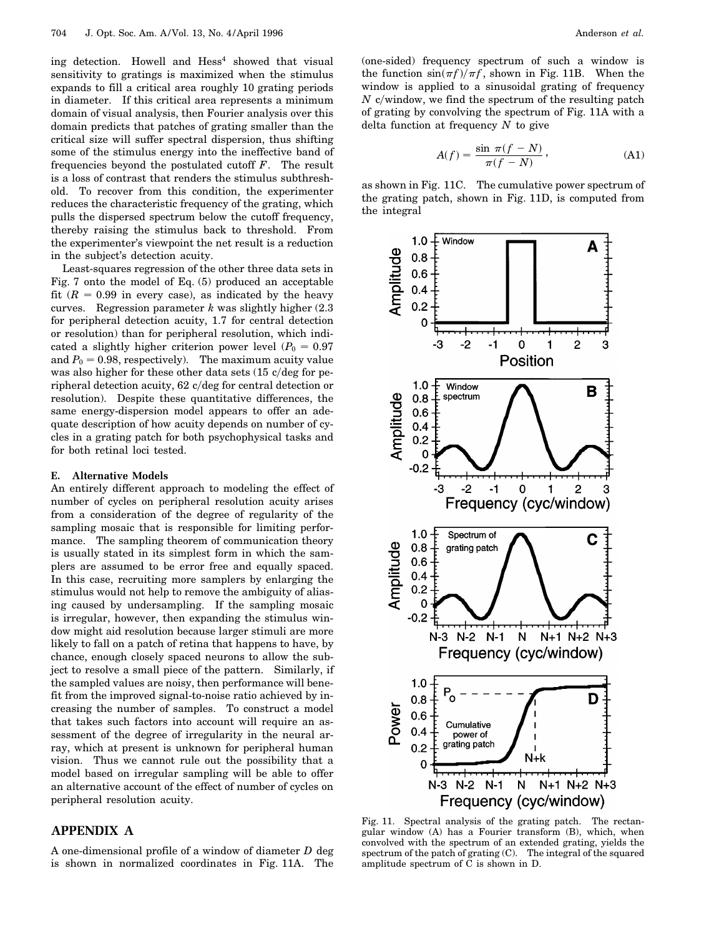ing detection. Howell and  $Hess<sup>4</sup>$  showed that visual sensitivity to gratings is maximized when the stimulus expands to fill a critical area roughly 10 grating periods in diameter. If this critical area represents a minimum domain of visual analysis, then Fourier analysis over this domain predicts that patches of grating smaller than the critical size will suffer spectral dispersion, thus shifting some of the stimulus energy into the ineffective band of frequencies beyond the postulated cutoff *F*. The result is a loss of contrast that renders the stimulus subthreshold. To recover from this condition, the experimenter reduces the characteristic frequency of the grating, which pulls the dispersed spectrum below the cutoff frequency, thereby raising the stimulus back to threshold. From the experimenter's viewpoint the net result is a reduction in the subject's detection acuity.

Least-squares regression of the other three data sets in Fig. 7 onto the model of Eq. (5) produced an acceptable fit  $(R = 0.99$  in every case), as indicated by the heavy curves. Regression parameter *k* was slightly higher (2.3 for peripheral detection acuity, 1.7 for central detection or resolution) than for peripheral resolution, which indicated a slightly higher criterion power level  $(P_0 = 0.97)$ and  $P_0 = 0.98$ , respectively). The maximum acuity value was also higher for these other data sets  $(15 \text{ c/deg}$  for peripheral detection acuity,  $62 \frac{c}{\text{deg}}$  for central detection or resolution). Despite these quantitative differences, the same energy-dispersion model appears to offer an adequate description of how acuity depends on number of cycles in a grating patch for both psychophysical tasks and for both retinal loci tested.

### **E. Alternative Models**

An entirely different approach to modeling the effect of number of cycles on peripheral resolution acuity arises from a consideration of the degree of regularity of the sampling mosaic that is responsible for limiting performance. The sampling theorem of communication theory is usually stated in its simplest form in which the samplers are assumed to be error free and equally spaced. In this case, recruiting more samplers by enlarging the stimulus would not help to remove the ambiguity of aliasing caused by undersampling. If the sampling mosaic is irregular, however, then expanding the stimulus window might aid resolution because larger stimuli are more likely to fall on a patch of retina that happens to have, by chance, enough closely spaced neurons to allow the subject to resolve a small piece of the pattern. Similarly, if the sampled values are noisy, then performance will benefit from the improved signal-to-noise ratio achieved by increasing the number of samples. To construct a model that takes such factors into account will require an assessment of the degree of irregularity in the neural array, which at present is unknown for peripheral human vision. Thus we cannot rule out the possibility that a model based on irregular sampling will be able to offer an alternative account of the effect of number of cycles on peripheral resolution acuity.

# **APPENDIX A**

A one-dimensional profile of a window of diameter *D* deg is shown in normalized coordinates in Fig. 11A. The

(one-sided) frequency spectrum of such a window is the function  $\sin(\pi f)/\pi f$ , shown in Fig. 11B. When the window is applied to a sinusoidal grating of frequency  $N$  c/window, we find the spectrum of the resulting patch of grating by convolving the spectrum of Fig. 11A with a delta function at frequency *N* to give

$$
A(f) = \frac{\sin \pi (f - N)}{\pi (f - N)},
$$
\n(A1)

as shown in Fig. 11C. The cumulative power spectrum of the grating patch, shown in Fig. 11D, is computed from the integral



Fig. 11. Spectral analysis of the grating patch. The rectangular window (A) has a Fourier transform (B), which, when convolved with the spectrum of an extended grating, yields the spectrum of the patch of grating (C). The integral of the squared amplitude spectrum of  $\tilde{C}$  is shown in D.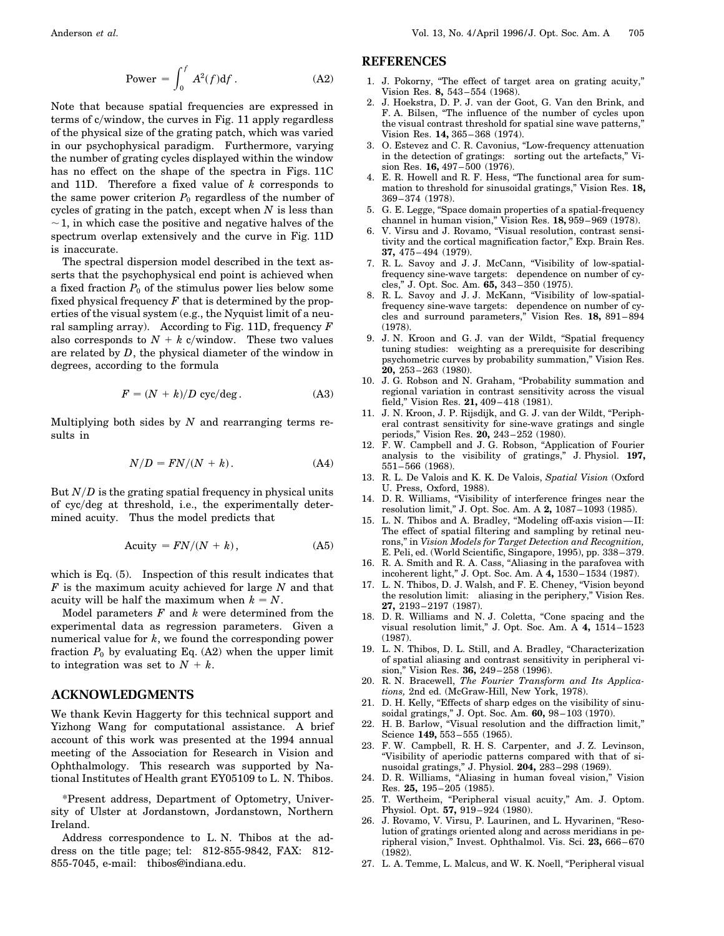$$
Power = \int_0^f A^2(f) df.
$$
 (A2)

Note that because spatial frequencies are expressed in terms of c/window, the curves in Fig. 11 apply regardless of the physical size of the grating patch, which was varied in our psychophysical paradigm. Furthermore, varying the number of grating cycles displayed within the window has no effect on the shape of the spectra in Figs. 11C and 11D. Therefore a fixed value of *k* corresponds to the same power criterion  $P_0$  regardless of the number of cycles of grating in the patch, except when *N* is less than  $\sim$  1, in which case the positive and negative halves of the spectrum overlap extensively and the curve in Fig. 11D is inaccurate.

The spectral dispersion model described in the text asserts that the psychophysical end point is achieved when a fixed fraction  $P_0$  of the stimulus power lies below some fixed physical frequency *F* that is determined by the properties of the visual system (e.g., the Nyquist limit of a neural sampling array). According to Fig. 11D, frequency *F* also corresponds to  $N + k$  c/window. These two values are related by *D*, the physical diameter of the window in degrees, according to the formula

$$
F = (N + k)/D \, \text{cyc/deg.} \tag{A3}
$$

Multiplying both sides by *N* and rearranging terms results in

$$
N/D = FN/(N + k). \tag{A4}
$$

But  $N/D$  is the grating spatial frequency in physical units of cycydeg at threshold, i.e., the experimentally determined acuity. Thus the model predicts that

$$
Acuity = FN/(N + k), \qquad (A5)
$$

which is Eq. (5). Inspection of this result indicates that *F* is the maximum acuity achieved for large *N* and that acuity will be half the maximum when  $k = N$ .

Model parameters *F* and *k* were determined from the experimental data as regression parameters. Given a numerical value for *k*, we found the corresponding power fraction  $P_0$  by evaluating Eq. (A2) when the upper limit to integration was set to  $N + k$ .

# **ACKNOWLEDGMENTS**

We thank Kevin Haggerty for this technical support and Yizhong Wang for computational assistance. A brief account of this work was presented at the 1994 annual meeting of the Association for Research in Vision and Ophthalmology. This research was supported by National Institutes of Health grant EY05109 to L. N. Thibos.

\*Present address, Department of Optometry, University of Ulster at Jordanstown, Jordanstown, Northern Ireland.

Address correspondence to L. N. Thibos at the address on the title page; tel: 812-855-9842, FAX: 812- 855-7045, e-mail: thibos@indiana.edu.

# **REFERENCES**

- 1. J. Pokorny, "The effect of target area on grating acuity," Vision Res. **8,** 543–554 (1968).
- 2. J. Hoekstra, D. P. J. van der Goot, G. Van den Brink, and F. A. Bilsen, "The influence of the number of cycles upon the visual contrast threshold for spatial sine wave patterns, Vision Res. **14,** 365–368 (1974).
- 3. O. Estevez and C. R. Cavonius, "Low-frequency attenuation in the detection of gratings: sorting out the artefacts," Vision Res. **16,** 497–500 (1976).
- 4. E. R. Howell and R. F. Hess, "The functional area for summation to threshold for sinusoidal gratings," Vision Res. **18,** 369–374 (1978).
- 5. G. E. Legge, "Space domain properties of a spatial-frequency channel in human vision," Vision Res. **18,** 959–969 (1978).
- 6. V. Virsu and J. Rovamo, "Visual resolution, contrast sensitivity and the cortical magnification factor," Exp. Brain Res. **37,** 475–494 (1979).
- 7. R. L. Savoy and J. J. McCann, "Visibility of low-spatialfrequency sine-wave targets: dependence on number of cycles," J. Opt. Soc. Am. **65,** 343–350 (1975).
- 8. R. L. Savoy and J. J. McKann, "Visibility of low-spatialfrequency sine-wave targets: dependence on number of cycles and surround parameters," Vision Res. **18,** 891–894 (1978).
- 9. J. N. Kroon and G. J. van der Wildt, "Spatial frequency tuning studies: weighting as a prerequisite for describing psychometric curves by probability summation," Vision Res. **20,** 253–263 (1980).
- 10. J. G. Robson and N. Graham, "Probability summation and regional variation in contrast sensitivity across the visual field," Vision Res. **21,** 409–418 (1981).
- 11. J. N. Kroon, J. P. Rijsdijk, and G. J. van der Wildt, "Peripheral contrast sensitivity for sine-wave gratings and single periods," Vision Res. **20,** 243–252 (1980).
- 12. F. W. Campbell and J. G. Robson, "Application of Fourier analysis to the visibility of gratings," J. Physiol. **197,** 551–566 (1968).
- 13. R. L. De Valois and K. K. De Valois, *Spatial Vision* (Oxford U. Press, Oxford, 1988).
- 14. D. R. Williams, "Visibility of interference fringes near the resolution limit," J. Opt. Soc. Am. A **2,** 1087–1093 (1985).
- 15. L. N. Thibos and A. Bradley, "Modeling off-axis vision—II: The effect of spatial filtering and sampling by retinal neurons," in *Vision Models for Target Detection and Recognition,* E. Peli, ed. (World Scientific, Singapore, 1995), pp. 338–379.
- 16. R. A. Smith and R. A. Cass, "Aliasing in the parafovea with incoherent light," J. Opt. Soc. Am. A **4,** 1530–1534 (1987).
- 17. L. N. Thibos, D. J. Walsh, and F. E. Cheney, "Vision beyond the resolution limit: aliasing in the periphery," Vision Res. **27,** 2193–2197 (1987).
- 18. D. R. Williams and N. J. Coletta, "Cone spacing and the visual resolution limit," J. Opt. Soc. Am. A **4,** 1514–1523 (1987).
- 19. L. N. Thibos, D. L. Still, and A. Bradley, "Characterization of spatial aliasing and contrast sensitivity in peripheral vision," Vision Res. **36,** 249–258 (1996).
- 20. R. N. Bracewell, *The Fourier Transform and Its Applications,* 2nd ed. (McGraw-Hill, New York, 1978).
- 21. D. H. Kelly, "Effects of sharp edges on the visibility of sinusoidal gratings," J. Opt. Soc. Am. **60,** 98–103 (1970).
- 22. H. B. Barlow, "Visual resolution and the diffraction limit," Science **149,** 553–555 (1965).
- 23. F. W. Campbell, R. H. S. Carpenter, and J. Z. Levinson, "Visibility of aperiodic patterns compared with that of sinusoidal gratings," J. Physiol. **204,** 283–298 (1969).
- 24. D. R. Williams, "Aliasing in human foveal vision," Vision Res. **25,** 195–205 (1985).
- 25. T. Wertheim, "Peripheral visual acuity," Am. J. Optom. Physiol. Opt. **57,** 919–924 (1980).
- 26. J. Rovamo, V. Virsu, P. Laurinen, and L. Hyvarinen, "Resolution of gratings oriented along and across meridians in peripheral vision," Invest. Ophthalmol. Vis. Sci. **23,** 666–670 (1982).
- 27. L. A. Temme, L. Malcus, and W. K. Noell, "Peripheral visual